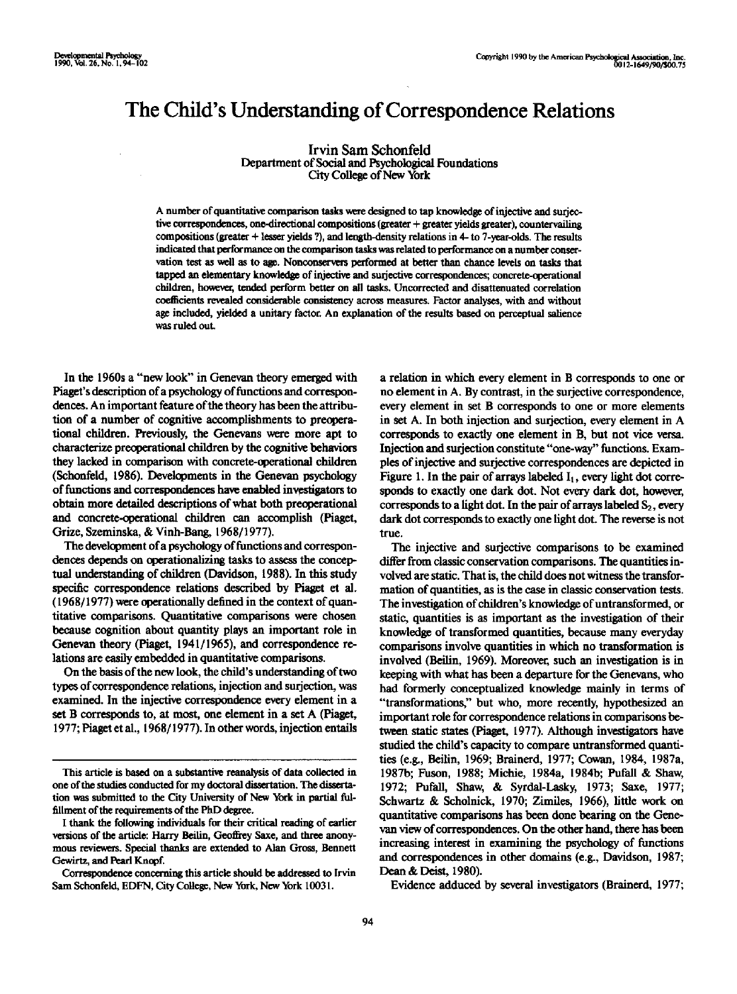# The Child's Understanding of Correspondence Relations

Irvin Sam Schonfeld Department of Social and Psychological Foundations City College of New York

A number of quantitative comparison tasks were designed to tap knowledge of injective and suijective correspondences, one-directiona] compositions (greater + greater yields greater), countervailing compositions (greater + lesser yields ?), and length-density relations in 4- to 7-year-olds. The results indicated that performance on the comparison tasks was related to performance on a number conservation test as well as to age. Nonconservers performed at better than chance levels on tasks that tapped an elementary knowledge of injective and surjective correspondences; concrete-operational children, however, tended perform better on all tasks. Uncorrected and disattenuated correlation coefficients revealed considerable consistency across measures. Factor analyses, with and without age included, yielded a unitary factor. An explanation of the results based on perceptual salience was ruled out

In the 1960s a "new look" in Genevan theory emerged with Piaget's description of a psychology of functions and correspondences. An important feature of the theory has been the attribution of a number of cognitive accomplishments to preoperational children. Previously, the Genevans were more apt to characterize preoperational children by the cognitive behaviors they lacked in comparison with concrete-operational children (Schonfeld, 1986). Developments in the Genevan psychology of functions and correspondences have enabled investigators to obtain more detailed descriptions of what both preoperational and concrete-operational children can accomplish (Piaget, Grize, Szeminska, & Vinh-Bang, 1968/1977).

The development of a psychology of functions and correspondences depends on operationalizing tasks to assess the conceptual understanding of children (Davidson, 1988). In this study specific correspondence relations described by Piaget et al. (1968/1977) were operationally defined in the context of quantitative comparisons. Quantitative comparisons were chosen because cognition about quantity plays an important role in Genevan theory (Piaget, 1941/1965), and correspondence relations are easily embedded in quantitative comparisons.

On the basis of the new look, the child's understanding of two types of correspondence relations, injection and surjection, was examined. In the injective correspondence every element in a set B corresponds to, at most, one element in a set A (Piaget, 1977; Piaget et al., 1968/1977). In other words, injection entails

a relation in which every element in B corresponds to one or no element in A. By contrast, in the surjective correspondence, every element in set B corresponds to one or more elements in set A. In both injection and surjection, every element in A corresponds to exactly one element in B, but not vice versa. Injection and surjection constitute "one-way" functions. Examples of injective and surjective correspondences are depicted in Figure 1. In the pair of arrays labeled  $I_1$ , every light dot corresponds to exactly one dark dot. Not every dark dot, however, corresponds to a light dot. In the pair of arrays labeled  $S_2$ , every dark dot corresponds to exactly one light dot. The reverse is not true.

The injective and surjective comparisons to be examined differ from classic conservation comparisons. The quantities involved are static. That is, the child does not witness the transformation of quantities, as is the case in classic conservation tests. The investigation of children's knowledge of untransformed, or static, quantities is as important as the investigation of their knowledge of transformed quantities, because many everyday comparisons involve quantities in which no transformation is involved (Beilin, 1969). Moreover, such an investigation is in keeping with what has been a departure for the Genevans, who had formerly conceptualized knowledge mainly in terms of "transformations," but who, more recently, hypothesized an important role for correspondence relations in comparisons between static states (Piaget, 1977). Although investigators have studied the child's capacity to compare untransformed quantities (e.g., Beffin, 1969; Brainerd, 1977; Cowan, 1984, 1987a, 1987b; Fuson, 1988; Michie, 1984a, 1984b; Pufall & Shaw, 1972; Pufall, Shaw, & Syrdal-Lasky, 1973; Saxe, 1977; Schwartz *&* Scholnick, 1970; Zimiles, 1966), little work on quantitative comparisons has been done bearing on the Genevan view of correspondences. On the other hand, there has been increasing interest in examining the psychology of functions and correspondences in other domains (e.g., Davidson, 1987; Dean & Deist, 1980).

Evidence adduced by several investigators (Brainerd, 1977;

This article is based on a substantive reanalysis of data collected in one of the studies conducted for my doctoral dissertation. The dissertation was submitted to the City University of New York in partial fulfillment of the requirements of the PhD degree.

I thank the following individuals for their critical reading of earlier versions of the article: Harry Beilin, Geoflrey Saxe, and three anonymous reviewers. Special thanks are extended to Alan Gross, Bennett Gewirtz, and Pearl Knopf.

Correspondence concerning this article should be addressed to Irvin Sam Schonfeld, EDFN, City College, New York, New York 10031.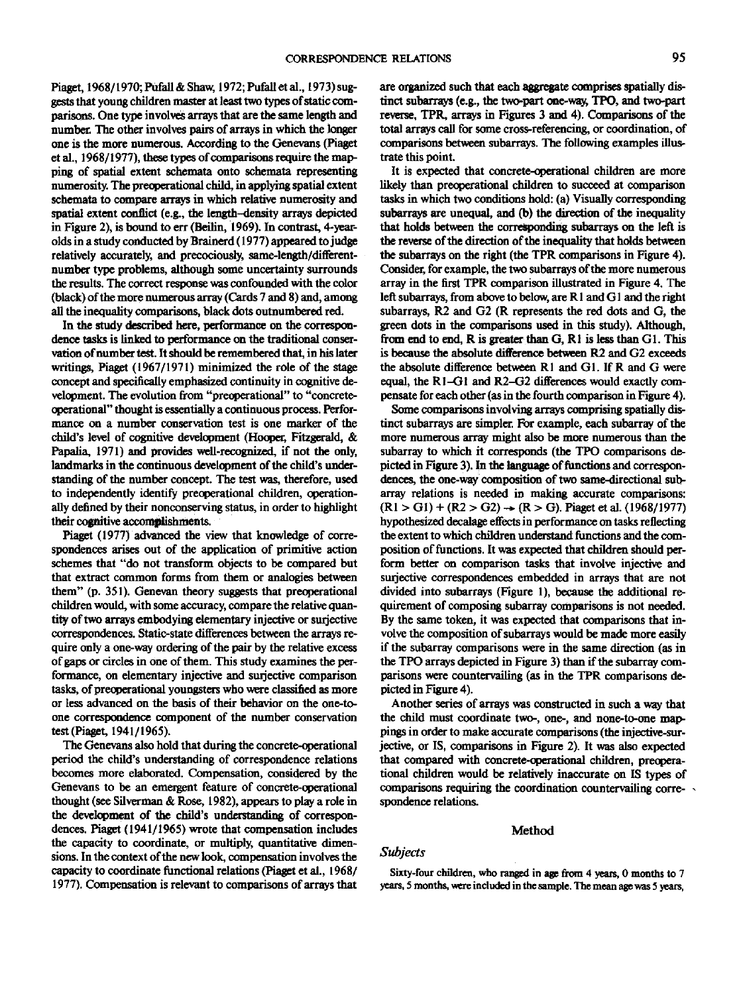Piaget, 1968/1970; Pufall & Shaw, 1972; Pufall et al., 1973) suggests that young children master at least two types of static comparisons. One type involves arrays that are the same length and number. The other involves pairs of arrays in which the longer one is the more numerous. According to the Genevans (Piaget etal., 1968/1977), these types of comparisons require the mapping of spatial extent schemata onto schemata representing numerosity. The preoperational child, in applying spatial extent schemata to compare arrays in which relative numerosity and spatial extent conflict (e.g., the length-density arrays depicted in Figure 2), is bound to err (Beilin, 1969). In contrast, 4-yearolds in a study conducted by Brainerd (1977) appeared to judge relatively accurately, and precociously, same-length/differentnumber type problems, although some uncertainty surrounds the results. The correct response was confounded with the color (black) of the more numerous array (Cards 7 and 8) and, among all the inequality comparisons, black dots outnumbered red.

In the study described here, performance on the correspondence tasks is linked to performance on the traditional conservation of number test. It should be remembered that, in his later writings, Piaget (1967/1971) minimized the role of the stage concept and specifically emphasized continuity in cognitive development. The evolution from "preoperational" to "concreteoperational" thought is essentially a continuous process. Performance on a number conservation test is one marker of the child's level of cognitive development (Hooper, Fitzgerald, & Papalia, 1971) and provides well-recognized, if not the only, landmarks in the continuous development of the child's understanding of the number concept. The test was, therefore, used to independently identify preoperational children, operationally defined by their nonconserving status, in order to highlight their cognitive accomplishments.

Piaget (1977) advanced the view that knowledge of correspondences arises out of the application of primitive action schemes that "do not transform objects to be compared but that extract common forms from them or analogies between them" (p. 351). Genevan theory suggests that preoperational children would, with some accuracy, compare the relative quantity of two arrays embodying elementary injective or surjective correspondences. Static-state differences between the arrays require only a one-way ordering of the pair by the relative excess of gaps or circles in one of them. This study examines the performance, on elementary injective and surjective comparison tasks, of preoperational youngsters who were classified as more or less advanced on the basis of their behavior on the one-toone correspondence component of the number conservation test (Piaget, 1941/1965).

The Genevans also hold that during the concrete-operational period the child's understanding of correspondence relations becomes more elaborated. Compensation, considered by the Genevans to be an emergent feature of concrete-operational thought (see Silverman & Rose, 1982), appears to play a role in the development of the child's understanding of correspondences. Piaget (1941/1965) wrote that compensation includes the capacity to coordinate, or multiply, quantitative dimensions. In the context of the new look, compensation involves the capacity to coordinate functional relations (Piaget et al., 1968/ 1977). Compensation is relevant to comparisons of arrays that

are organized such that each aggregate comprises spatially distinct subarrays (e.g., the two-part one-way, TPO, and two-part reverse, TPR, arrays in Figures 3 and 4). Comparisons of the total arrays call for some cross-referencing, or coordination, of comparisons between subarrays. The following examples illustrate this point.

It is expected that concrete-operational children are more likely than preoperational children to succeed at comparison tasks in which two conditions hold: (a) Visually corresponding subarrays are unequal, and (b) the direction of the inequality that holds between the corresponding subarrays on the left is the reverse of the direction of the inequality that holds between the subarrays on the right (the TPR comparisons in Figure 4). Consider, for example, the two subarrays of the more numerous array in the first TPR comparison illustrated in Figure 4. The left subarrays, from above to below, are R1 and G1 and the right subarrays, R2 and G2 (R represents the red dots and G, the green dots in the comparisons used in this study). Although, from end to end, R is greater than G, Rl is less than Gl. This is because the absolute difference between R2 and G2 exceeds the absolute difference between Rl and Gl. If R and G were equal, the Rl-Gl and R2-G2 differences would exactly compensate for each other (as in the fourth comparison in Figure 4).

Some comparisons involving arrays comprising spatially distinct subarrays are simpler. For example, each subarray of the more numerous array might also be more numerous than the subarray to which it corresponds (the TPO comparisons depicted in Figure 3). In the language of functions and correspondences, the one-way composition of two same-directional subarray relations is needed in making accurate comparisons:  $(R1 > G1) + (R2 > G2) \rightarrow (R > G)$ . Piaget et al. (1968/1977) hypothesized decalage effects in performance on tasks reflecting the extent to which children understand functions and the composition of functions. It was expected that children should perform better on comparison tasks that involve injective and surjective correspondences embedded in arrays that are not divided into subarrays (Figure 1), because the additional requirement of composing subarray comparisons is not needed. By the same token, it was expected that comparisons that involve the composition of subarrays would be made more easily if the subarray comparisons were in the same direction (as in the TPO arrays depicted in Figure 3) than if the subarray comparisons were countervailing (as in the TPR comparisons depicted in Figure 4).

Another series of arrays was constructed in such a way that the child must coordinate two-, one-, and none-to-one mappings in order to make accurate comparisons (the injective-surjective, or IS, comparisons in Figure 2). It was also expected that compared with concrete-operational children, preoperational children would be relatively inaccurate on IS types of comparisons requiring the coordination countervailing correspondence relations.

# Method

## *Subjects*

Sixty-four children, who ranged in age from 4 years, 0 months to 7 years, 5 months, were included in the sample. The mean age was 5 years,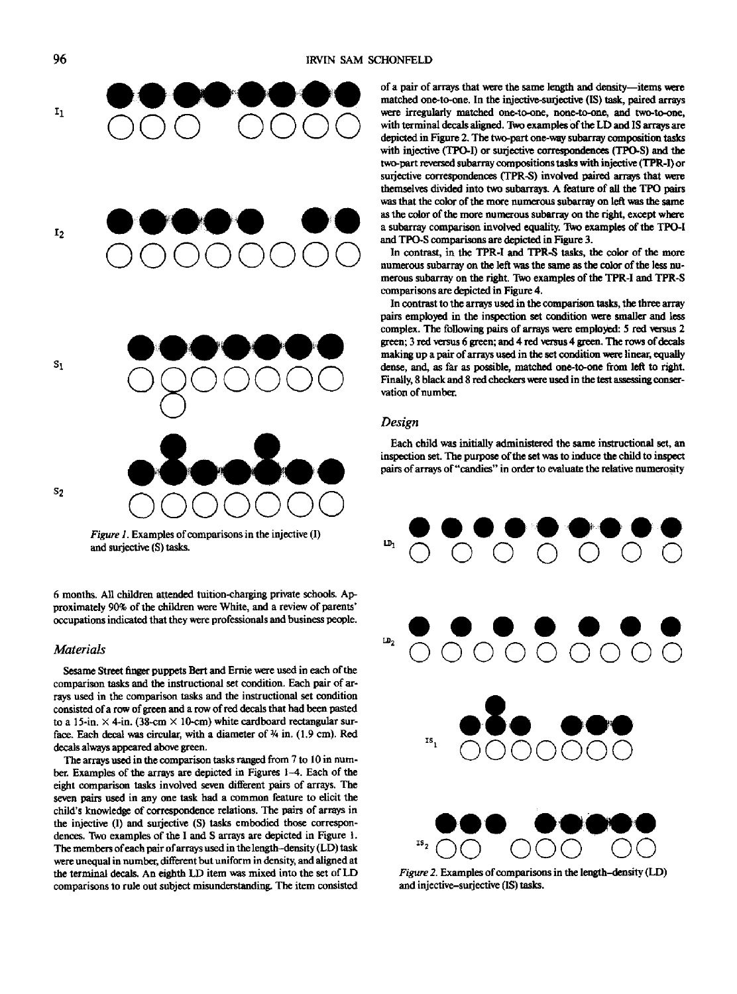

*Figure 1.* Examples of comparisons in the injective (I) and surjective (S) tasks.

6 months. All children attended tuition-charging private schools. Approximately 90% of the children were White, and a review of parents' occupations indicated that they were professionals and business people.

## *Materials*

Sesame Street finger puppets Bert and Ernie were used in each of the comparison tasks and the instructional set condition. Each pair of arrays used in the comparison tasks and the instructional set condition consisted of a row of green and a row of red decals that had been pasted to a 15-in.  $\times$  4-in. (38-cm  $\times$  10-cm) white cardboard rectangular surface. Each decal was circular, with a diameter of *VA* in. (1.9 cm). Red decals always appeared above green.

The arrays used in the comparison tasks ranged from 7 to 10 in number. Examples of the arrays are depicted in Figures 1-4. Each of the eight comparison tasks involved seven different pairs of arrays. The seven pairs used in any one task had a common feature to elicit the child's knowledge of correspondence relations. The pairs of arrays in the injective (I) and surjective (S) tasks embodied those correspondences. Two examples of the I and S arrays are depicted in Figure 1. The members of each pair of arrays used in the length-density <LD) task were unequal in number, different but uniform in density, and aligned at the terminal decals. An eighth LD item was mixed into the set of LD comparisons to rule out subject misunderstanding. The item consisted

of a pair of arrays that were the same length and density—items were matched one-to-one. In the injective-surjective (IS) task, paired arrays were irregularly matched one-to-one, none-to-one, and two-to-one, with terminal decals aligned. Two examples of the LD and IS arrays are depicted in Figure 2. The two-part one-way subarray composition tasks with injective (TPO-I) or surjective correspondences (TPO-S) and the two-part reversed subarray compositions tasks with injective (TPR-I) or surjective correspondences (TPR-S) involved paired arrays that were themselves divided into two subarrays. A feature of all the TPO pairs was that the color of the more numerous subarray on left was the same as the color of the more numerous subarray on the right, except where a subarray comparison involved equality. Two examples of the TPO-I and TPO-S comparisons are depicted in Figure 3.

In contrast, in the TPR-I and TPR-S tasks, the color of the more numerous subarray on the left was the same as the color of the less numerous subarray on the right. Two examples of the TPR-I and TPR-S comparisons are depicted in Figure 4.

In contrast to the arrays used in the comparison tasks, the three array pairs employed in the inspection set condition were smaller and less complex. The following pairs of arrays were employed: 5 red versus 2 green; 3 red versus 6 green; and 4 red versus 4 green. The rows of decals making up a pair of arrays used in the set condition were linear, equally dense, and, as far as possible, matched one-to-one from left to right. Finally, 8 black and 8 red checkers were used in the test assessing conservation of number.

## *Design*

Each child was initially administered the same instructional set, an inspection set. The purpose of the set was to induce the child to inspect pairs of arrays of "candies" in order to evaluate the relative numerosity



*Figure 2.* Examples of comparisons in the length-density (LD) and injective-surjective (IS) tasks.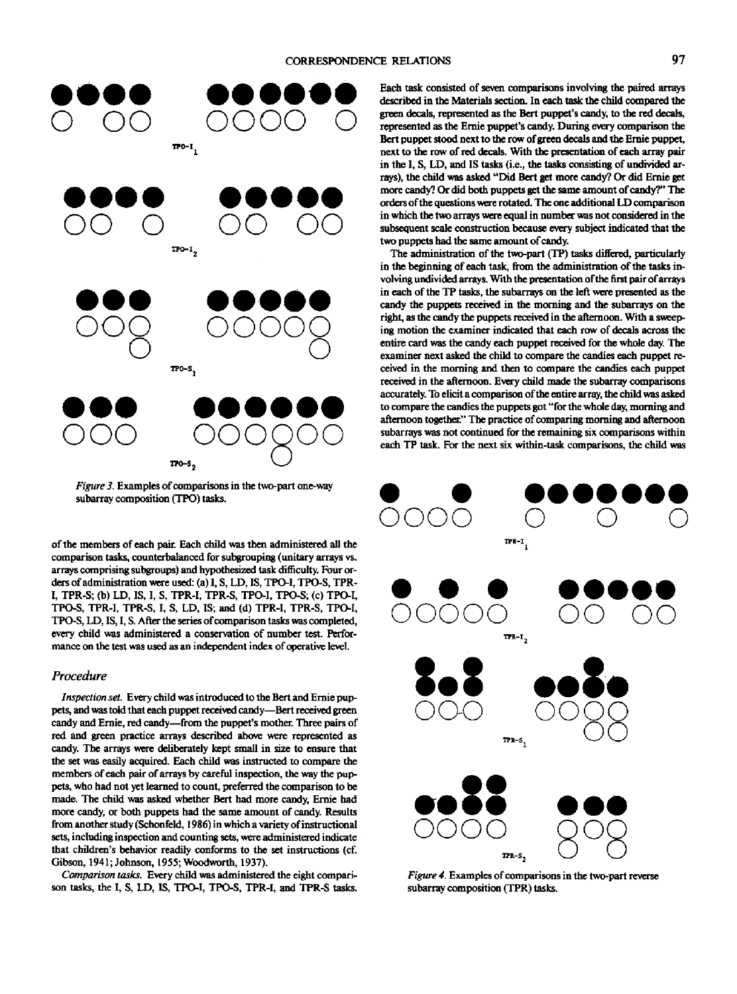

*Figure 3.* Examples of comparisons in the two-part one-way subarray composition (TPO) tasks.

of the members of each pair. Each child was then administered all the comparison tasks, counterbalanced for subgrouping (unitary arrays vs. arrays comprising subgroups) and hypothesized task difficulty. Four orders of administration were used: (a) I, S, LD, IS, TPO-I, TPO-S, TPR-I, TPR-S; (b) LD, IS, I, S, TPR-I, TPR-S, TPO-I, TPO-S; (c) TPO-I, TPO-S, TPR-I, TPR-S, I, S, LD, IS; and (d) TPR-I, TPR-S, TPO-I, TPO-S, LD, IS, I, S, After the series of comparison tasks was completed, every child was administered a conservation of number test. Performance on the test was used as an independent index of operative level.

#### *Procedure*

*Inspection set.* Every child was introduced to the Bert and Ernie puppets, and was told that each puppet received candy—Bert received green candy and Ernie, red candy—from the puppet's mother. Three pairs of red and green practice arrays described above were represented as candy. The arrays were deliberately kept small in size to ensure that the set was easily acquired. Each child was instructed to compare the members of each pair of arrays by careful inspection, the way the puppets, who had not yet learned to count, preferred the comparison to be made. The child was asked whether Bert had more candy, Ernie had more candy, or both puppets had the same amount of candy. Results from another study (Schonfeld, 1986) in which a variety of instructional sets, including inspection and counting sets, were administered indicate that children's behavior readily conforms to the set instructions (cf. Gibson, 1941; Johnson, 1955; Woodworth, 1937).

*Comparison tasks.* Every child was administered the eight comparison tasks, the I, S, LD, IS, TPO-I, TPO-S, TPR-I, and TPR-S tasks.

Each task consisted of seven comparisons involving the paired arrays described in the Materials section. In each task the child compared the green decals, represented as the Bert puppet's candy, to the red decals, represented as the Ernie puppet's candy. During every comparison the Bert puppet stood next to the row of green decals and the Ernie puppet, next to the row of red decals. With the presentation of each array pair in the I, S, LD, and IS tasks (i.e., the tasks consisting of undivided arrays), the child was asked "Did Bert get more candy? Or did Ernie get more candy? Or did both puppets get the same amount of candy?" The orders of the questions were rotated. The one additional LD comparison in which the two arrays were equal in number was not considered in the subsequent scale construction because every subject indicated that the two puppets had the same amount of candy.

The administration of the two-part (TP) tasks differed, particularly in the beginning of each task, from the administration of the tasks involving undivided arrays. With the presentation of the first pair of arrays in each of the TP tasks, the subarrays on the left were presented as the candy the puppets received in the morning and the subarrays on the right, as the candy the puppets received in the afternoon. With a sweeping motion the examiner indicated that each row of decals across the entire card was the candy each puppet received for the whole day. The examiner next asked the child to compare the candies each puppet received in the morning and then to compare the candies each puppet received in the afternoon. Every child made the subarray comparisons accurately. To elicit a comparison of the entire array, the child was asked to compare the candies the puppets got "for the whole day, morning and afternoon together." The practice of comparing morning and afternoon subarrays was not continued for the remaining six comparisons within each TP task. For the next six within-task comparisons, the child was



*Figure 4.* Examples of comparisons in the two-part reverse subarray composition (TPR) tasks.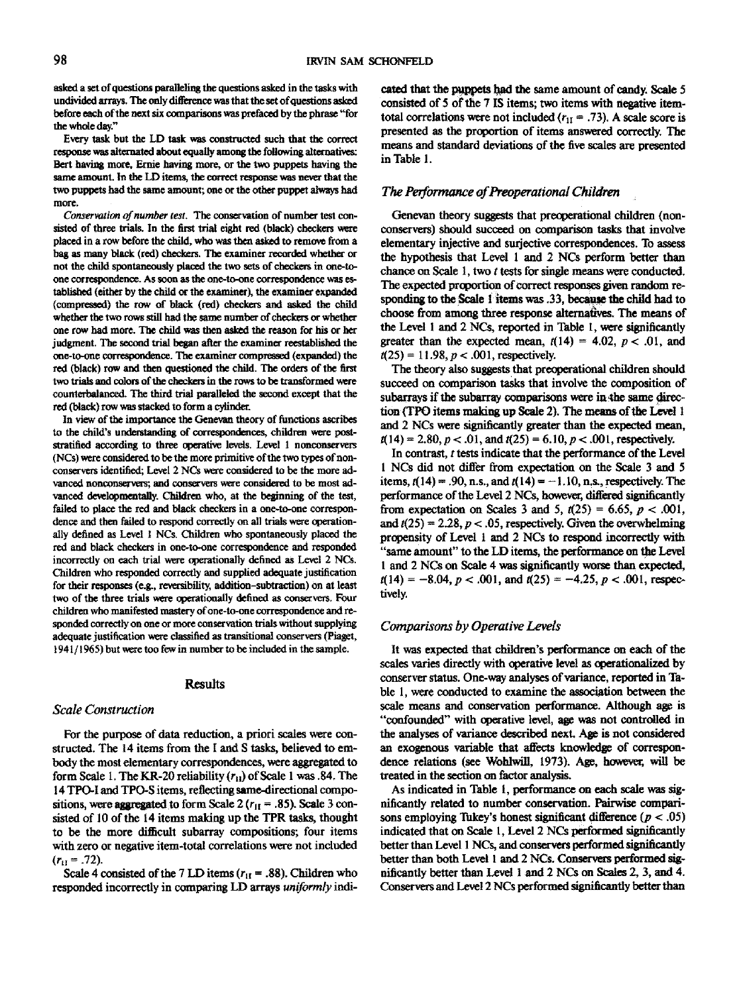asked a set of questions paralleling the questions asked in the tasks with undivided arrays. The only difference was that the set of questions asked before each of the next six comparisons was prefaced by the phrase "for the whole day."

Every task but the LD task was constructed such that the correct response was alternated about equally among the following alternatives: Bert having more, Ernie having more, or the two puppets having the same amount. In the LD items, the correct response was never that the two puppets had the same amount; one or the other puppet always had more.

*Conservation of number test.* The conservation of number test consisted of three trials. In the first trial eight red (black) checkers were placed in a row before the child, who was then asked to remove from a bag as many black (red) checkers. The examiner recorded whether or not the child spontaneously placed the two sets of checkers in one-toone correspondence. As soon as the one-to-one correspondence was established (either by the child or the examiner), the examiner expanded (compressed) the row of black (red) checkers and asked the child whether the two rows still had the same number of checkers or whether one row had more. The child was then asked the reason for his or her judgment. The second trial began after the examiner reestablished the one-to-one correspondence. The examiner compressed (expanded) the red (black) row and then questioned the child. The orders of the first two trials and colors of the checkers in the rows to be transformed were counterbalanced. The third trial paralleled the second except that the red (black) row was stacked to form a cylinder.

In view of the importance the Genevan theory of functions ascribes to the child's understanding of correspondences, children were poststratified according to three operative levels. Level 1 nonconservers (NCs) were considered to be the more primitive of the two types of nonconservers identified; Level 2 NCs were considered to be the more advanced nonconservers; and conservers were considered to be most advanced dcvelopmcntally. Children who, at the beginning of the test, failed to place the red and black checkers in a one-to-one correspondence and then failed to respond correctly on all trials were operationally defined as Level I NCs, Children who spontaneously placed the red and black checkers in one-to-one correspondence and responded incorrectly on each trial were operationally defined as Level 2 NCs. Children who responded correctly and supplied adequate justification for their responses (e.g., reversibility, addition-subtraction) on at least two of the three trials were operationally defined as conservers. Four children who manifested mastery of one-to-one correspondence and responded correctly on one or more conservation trials without supplying adequate justification were classified as transitional conservers (Piaget, 1941 /*1*96 5) but were too few in number to be included in the sample.

## Results

# *Scale Construction*

For the purpose of data reduction, a priori scales were constructed. The 14 items from the I and S tasks, believed to embody the most elementary correspondences, were aggregated to form Scale i. The KR-20 reliability *(rn)* of Scale 1 was .84, The 14 TPO-I and TPO-S items, reflecting same-directional compositions, were aggregated to form Scale 2 ( $r_H = .85$ ). Scale 3 consisted of 10 of the 14 items making up the TPR tasks, thought to be the more difficult subarray compositions; four items with zero or negative item-total correlations were not included  $(r_{\rm H}=.72)$ .

Scale 4 consisted of the 7 LD items  $(r<sub>H</sub> = .88)$ . Children who responded incorrectly in comparing LD arrays *uniformly* indicated that the puppets had the same amount of candy. Scale 5 consisted of 5 of the 7 IS items; two items with negative itemtotal correlations were not included  $(r<sub>H</sub> = .73)$ . A scale score is presented as the proportion of items answered correctly. The means and standard deviations of the five scales are presented in Table 1.

# *The Performance of Preoperational Children*

Genevan theory suggests that preoperational children (nonconservers) should succeed on comparison tasks that involve elementary injective and surjective correspondences. To assess the hypothesis that Level 1 and 2 NCs perform better than chance on Scale 1, two *t* tests for single means were conducted. The expected proportion of correct responses given random responding to the Scale 1 items was .33, because the child had to choose from among three response alternatives. The means of the Level 1 and 2 NCs, reported in Table I, were significantly greater than the expected mean,  $t(14) = 4.02$ ,  $p < .01$ , and  $f(25) = 11.98, p < .001$ , respectively.

The theory also suggests that preoperational children should succeed on comparison tasks that involve the composition of subarrays if the subarray comparisons were in the same direction (TPO items making up Scale 2). The means of the Level 1 and 2 NCs were significantly greater than the expected mean,  $t(14) = 2.80, p < .01$ , and  $t(25) = 6.10, p < .001$ , respectively.

In contrast, *t* tests indicate that the performance of the Level 1 NCs did not differ from expectation on the Scale 3 and 5 items,  $t(14) = .90$ , n.s., and  $t(14) = -1.10$ , n.s., respectively. The performance of the Level 2 NCs, however, differed significantly from expectation on Scales 3 and 5,  $t(25) = 6.65$ ,  $p < .001$ , and  $t(25) = 2.28$ ,  $p < .05$ , respectively. Given the overwhelming propensity of Level 1 and 2 NCs to respond incorrectly with "same amount" to the LD items, the performance on the Level 1 and 2 NCs on Scale 4 was significantly worse than expected,  $t(14) = -8.04$ ,  $p < .001$ , and  $t(25) = -4.25$ ,  $p < .001$ , respectively.

#### *Comparisons by Operative Levels*

It was expected that children's performance on each of the scales varies directly with operative level as operationalized by conserver status. One-way analyses of variance, reported in Table 1, were conducted to examine the association between the scale means and conservation performance. Although age is "confounded" with operative level, age was not controlled in the analyses of variance described next. Age is not considered an exogenous variable that affects knowledge of correspondence relations (see Wohlwill, 1973). Age, however, will be treated in the section on factor analysis.

As indicated in Table 1, performance on each scale was significantly related to number conservation. Pairwise comparisons employing Tukey's honest significant difference *(p <* .05) indicated that on Scale 1, Level 2 NCs performed significantly better than Level 1 NCs, and conservers performed significantly better than both Level I and 2 NCs. Conservers performed significantly better than Level 1 and 2 NCs on Scales 2, 3, and 4. Conservers and Level 2 NCs performed significantly better than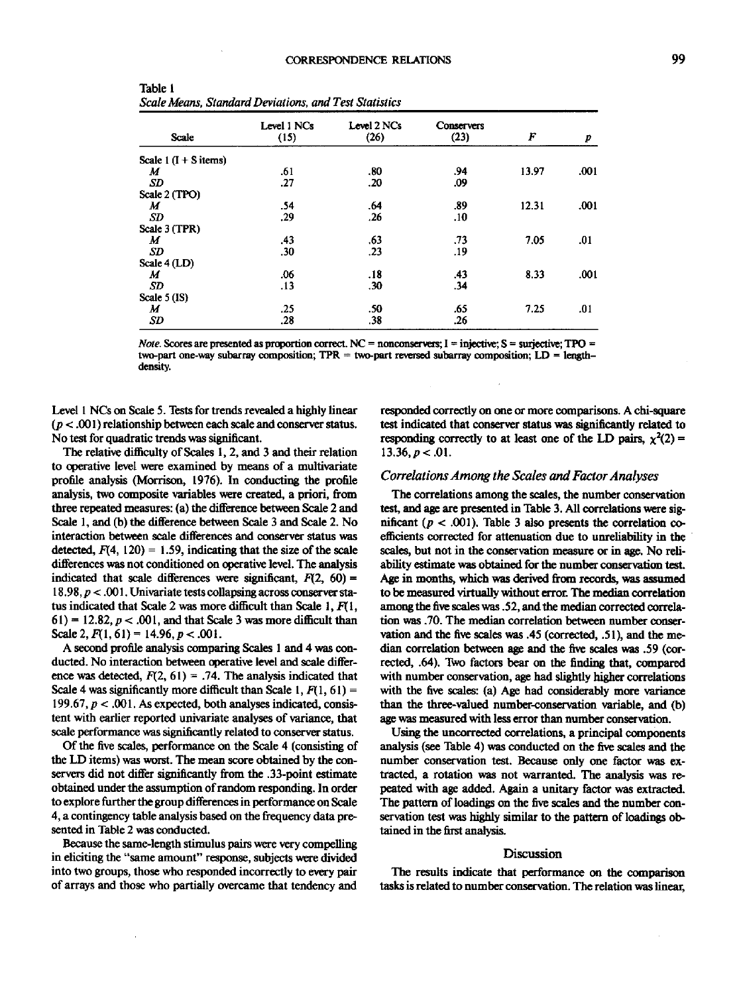| Scale                  | Level 1 NCs<br>(15) | Level 2 NCs<br>(26) | Conservers<br>(23) | F     | р    |
|------------------------|---------------------|---------------------|--------------------|-------|------|
| Scale $1(I + S$ items) |                     |                     |                    |       |      |
| M                      | .61                 | .80                 | .94                | 13.97 | .001 |
| SD                     | .27                 | .20                 | .09                |       |      |
| Scale 2 (TPO)          |                     |                     |                    |       |      |
| M                      | .54                 | .64                 | .89                | 12.31 | .001 |
| SD                     | .29                 | .26                 | .10                |       |      |
| Scale 3 (TPR)          |                     |                     |                    |       |      |
| М                      | .43                 | .63                 | .73                | 7.05  | .01  |
| <b>SD</b>              | .30                 | .23                 | .19                |       |      |
| Scale 4 (LD)           |                     |                     |                    |       |      |
| М                      | .06                 | .18                 | .43                | 8.33  | .001 |
| SD                     | .13                 | .30                 | .34                |       |      |
| Scale 5 (IS)           |                     |                     |                    |       |      |
| M                      | .25                 | .50                 | .65                | 7.25  | .01  |
| <b>SD</b>              | .28                 | .38                 | .26                |       |      |
|                        |                     |                     |                    |       |      |

| Table 1 |                                                       |  |
|---------|-------------------------------------------------------|--|
|         | Scale Means, Standard Deviations, and Test Statistics |  |

*Note.* Scores are presented as proportion correct.  $NC =$  nonconservers;  $I =$  injective;  $S =$  surjective;  $TPO =$ two-part one-way subarray composition; TPR = two-part reversed subarray composition; LD = lengthdensity.

Level 1 NCs on Scale 5. Tests for trends revealed a highly linear *{p <* .001) relationship between each scale and conserver status. No test for quadratic trends was significant.

The relative difficulty of Scales 1, 2, and 3 and their relation to operative level were examined by means of a multivariate profile analysis (Morrison, 1976). In conducting the profile analysis, two composite variables were created, a priori, from three repeated measures: (a) the difference between Scale 2 and Scale 1, and (b) the difference between Scale 3 and Scale 2. No interaction between scale differences and conserver status was detected,  $F(4, 120) = 1.59$ , indicating that the size of the scale differences was not conditioned on operative level. The analysis indicated that scale differences were significant,  $F(2, 60) =$ 18.9 8, *p <* .001. Univariate tests collapsing across conserver status indicated that Scale 2 was more difficult than Scale 1, *F( I*,  $61$  = 12.82,  $p < .001$ , and that Scale 3 was more difficult than Scale 2,  $F(1,61) = 14.96, p < .001$ .

A second profile analysis comparing Scales 1 and 4 was conducted. No interaction between operative level and scale difference was detected,  $F(2, 61) = .74$ . The analysis indicated that Scale 4 was significantly more difficult than Scale  $1, F(1, 61) =$ 199.67, *p <* .001. As expected, both analyses indicated, consistent with earlier reported univariate analyses of variance, that scale performance was significantly related to conserver status.

Of the five scales, performance on the Scale 4 (consisting of the LD items) was worst. The mean score obtained by the conservers did not differ significantly from the .33-point estimate obtained under the assumption of random responding. In order to explore further the group differences in performance on Scale 4, a contingency table analysis based on the frequency data presented in Table 2 was conducted.

Because the same-length stimulus pairs were very compelling in eliciting the "same amount" response, subjects were divided into two groups, those who responded incorrectly to every pair of arrays and those who partially overcame that tendency and responded correctly on one or more comparisons. A chi-square test indicated that conserver status was significantly related to responding correctly to at least one of the LD pairs,  $\chi^2(2)$  =  $13.36, p < .01.$ 

## *Correlations Among the Scales and Factor Analyses*

The correlations among the scales, the number conservation test, and age are presented in Table 3. All correlations were significant *(p <* .001). Table 3 also presents the correlation coefficients corrected for attenuation due to unreliability in the scales, but not in the conservation measure or in age. No reliability estimate was obtained for the number conservation test. Age in months, which was derived from records, was assumed to be measured virtually without error. The median correlation among the five scales was .52, and the median corrected correlation was .70. The median correlation between number conservation and the five scales was .45 (corrected, .51), and the median correlation between age and the five scales was .59 (corrected, .64). Two factors bear on the finding that, compared with number conservation, age had slightly higher correlations with the five scales: (a) Age had considerably more variance than the three-valued number-conservation variable, and (b) age was measured with less error than number conservation.

Using the uncorrected correlations, a principal components analysis (see Table 4) was conducted on the five scales and the number conservation test. Because only one factor was extracted, a rotation was not warranted. The analysis was repeated with age added. Again a unitary factor was extracted. The pattern of loadings on the five scales and the number conservation test was highly similar to the pattern of loadings obtained in the first analysis.

## Discussion

The results indicate that performance on the comparison tasks is related to number conservation. The relation was linear,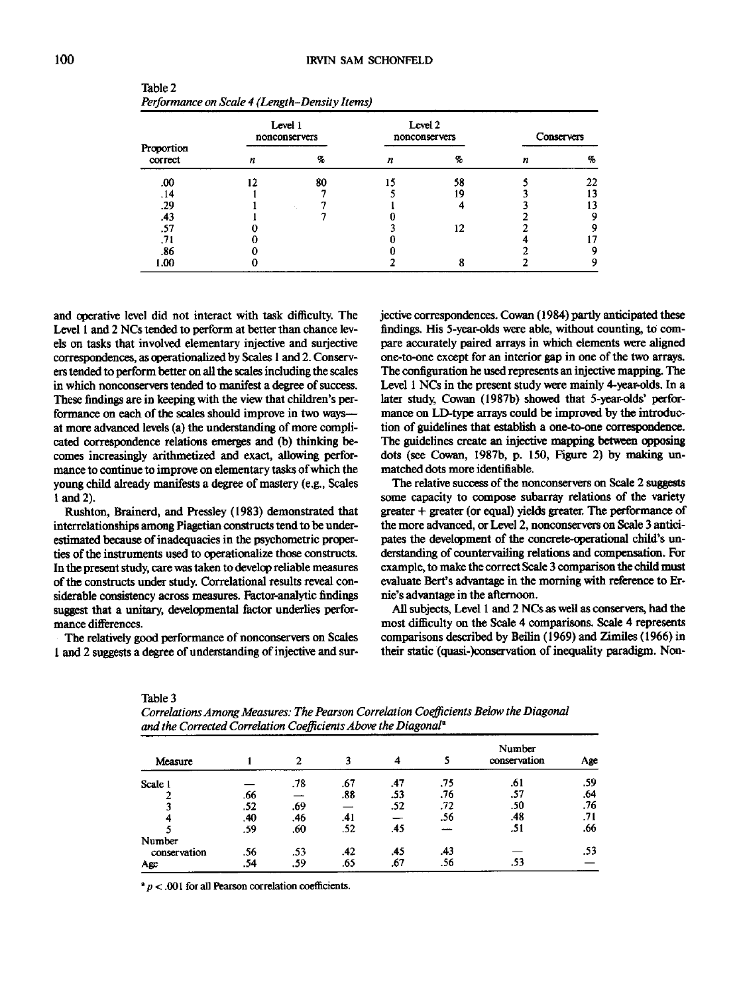|                       |   | Level 1<br>nonconservers |   | Level 2<br>nonconservers |  | Conservers |  |
|-----------------------|---|--------------------------|---|--------------------------|--|------------|--|
| Proportion<br>correct | n | %                        | n | %                        |  | %          |  |
| .00                   |   | 80                       |   | 58                       |  | 22         |  |
| .14                   |   |                          |   | 9                        |  | 13         |  |
| .29                   |   |                          |   |                          |  |            |  |
| .43                   |   |                          |   |                          |  |            |  |
| .57                   |   |                          |   | 12                       |  |            |  |
| .71                   |   |                          |   |                          |  |            |  |
| .86                   |   |                          |   |                          |  |            |  |
| 1.00                  |   |                          |   |                          |  |            |  |

Table 2 *Performance on Scale 4 (Length-Density Items)*

and operative level did not interact with task difficulty. The Level 1 and 2 NCs tended to perform at better than chance levels on tasks that involved elementary injective and surjective correspondences, as operationalized by Scales 1 and 2. Conservers tended to perform better on all the scales including the scales in which nonconservers tended to manifest a degree of success. These findings are in keeping with the view that children's performance on each of the scales should improve in two ways at more advanced levels (a) the understanding of more complicated correspondence relations emerges and (b) thinking becomes increasingly arithmetized and exact, allowing performance to continue to improve on elementary tasks of which the young child already manifests a degree of mastery (e.g., Scales land 2).

Rushton, Brainerd, and Pressley (1983) demonstrated that interrelationships among Piagetian constructs tend to be underestimated because of inadequacies in the psychometric properties of the instruments used to operationalize those constructs. In the present study, care was taken to develop reliable measures of the constructs under study. Correlational results reveal considerable consistency across measures. Factor-analytic findings suggest that a unitary, developmental factor underlies performance differences.

The relatively good performance of nonconservers on Scales I and 2 suggests a degree of understanding of injective and sur-

Table 3

jective correspondences. Cowan (1984) partly anticipated these findings. His 5-year-olds were able, without counting, to compare accurately paired arrays in which elements were aligned one-to-one except for an interior gap in one of the two arrays. The configuration he used represents an injective mapping. The Level 1 NCs in the present study were mainly 4-year-olds. In a later study, Cowan (1987b) showed that 5-year-olds' performance on LD-type arrays could be improved by the introduction of guidelines that establish a one-to-one correspondence. The guidelines create an injective mapping between opposing dots (see Cowan, 1987b, p. 150, Figure 2) by making unmatched dots more identifiable.

The relative success of the nonconservers on Scale 2 suggests some capacity to compose subarray relations of the variety greater + greater (or equal) yields greater. The performance of the more advanced, or Level 2, nonconservers on Scale 3 anticipates the development of the concrete-operational child's understanding of countervailing relations and compensation. For example, to make the correct Scale 3 comparison the child must evaluate Bert's advantage in the morning with reference to Ernie's advantage in the afternoon.

All subjects, Level 1 and 2 NCs as well as conservers, had the most difficulty on the Scale 4 comparisons. Scale 4 represents comparisons described by Beilin (1969) and Zimiles (1966) in their static (quasi-)conservation of inequality paradigm. Non-

| Measure      |     | $\overline{2}$ |     |     |     | Number<br>conservation | Age |
|--------------|-----|----------------|-----|-----|-----|------------------------|-----|
| Scale 1      |     | .78            | .67 | .47 | .75 | .61                    | .59 |
|              | .66 |                | .88 | .53 | .76 | .57                    | .64 |
|              | .52 | .69            |     | .52 | .72 | .50                    | .76 |
|              | .40 | .46            | .41 |     | .56 | .48                    | .71 |
|              | .59 | .60            | .52 | .45 |     | .51                    | .66 |
| Number       |     |                |     |     |     |                        |     |
| conservation | .56 | .53            | .42 | .45 | .43 |                        | .53 |
| Age          | .54 | .59            | .65 | .67 | .56 | .53                    |     |

*Correlations Among Measures: The Pearson Correlation Coefficients Below the Diagonal and the Corrected Correlation Coefficients Above the Diagonal<sup>9</sup>*

" *p<* .001 for all Pearson correlation coefficients.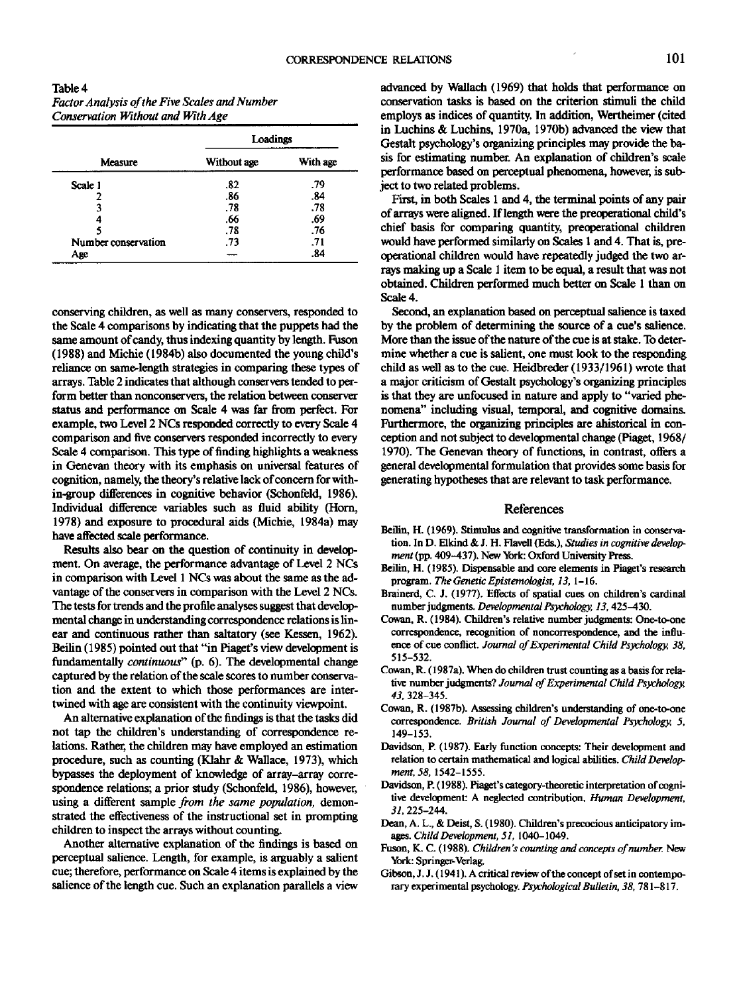Table 4 *Factor Analysis ofthe Five Scales and Number Conservation Without and With Age*

|                     | Loadings    |          |  |  |  |
|---------------------|-------------|----------|--|--|--|
| Measure             | Without age | With age |  |  |  |
| Scale 1             | .82         | .79      |  |  |  |
|                     | .86         | .84      |  |  |  |
|                     | .78         | .78      |  |  |  |
|                     | .66         | .69      |  |  |  |
|                     | .78         | .76      |  |  |  |
| Number conservation | .73         | .71      |  |  |  |
| Age                 |             | .84      |  |  |  |

conserving children, as well as many conservers, responded to the Scale 4 comparisons by indicating that the puppets had the same amount of candy, thus indexing quantity by length. Fuson (1988) and Michie (1984b) also documented the young child's reliance on same-length strategies in comparing these types of arrays. Table 2 indicates that although conservers tended to perform better than nonconservers, the relation between conserver status and performance on Scale 4 was far from perfect. For example, two Level 2 NCs responded correctly to every Scale 4 comparison and five conservers responded incorrectly to every Scale 4 comparison. This type of finding highlights a weakness in Genevan theory with its emphasis on universal features of cognition, namely, the theory's relative lack of concern for within-group differences in cognitive behavior (Schonfeld, 1986). Individual difference variables such as fluid ability (Horn, 1978) and exposure to procedural aids (Michie, 1984a) may have affected scale performance.

Results also bear on the question of continuity in development. On average, the performance advantage of Level 2 NCs in comparison with Level 1 NCs was about the same as the advantage of the conservers in comparison with the Level 2 NCs. The tests for trends and the profile analyses suggest that developmental change in understanding correspondence relations is linear and continuous rather than saltatory (see Kessen, 1962). Beilin (1985) pointed out that "in Piaget's view development is fundamentally *continuous"* (p. 6). The developmental change captured by the relation of the scale scores to number conservation and the extent to which those performances are intertwined with age are consistent with the continuity viewpoint.

An alternative explanation of the findings is that the tasks did not tap the children's understanding of correspondence relations. Rather, the children may have employed an estimation procedure, such as counting (Klahr & Wallace, 1973), which bypasses the deployment of knowledge of array-array correspondence relations; a prior study (Schonfeld, 1986), however, using a different sample *from the same population,* demonstrated the effectiveness of the instructional set in prompting children to inspect the arrays without counting.

Another alternative explanation of the findings is based on perceptual salience. Length, for example, is arguably a salient cue; therefore, performance on Scale 4 items is explained by the salience of the length cue. Such an explanation parallels a view

advanced by Wallach (1969) that holds that performance on conservation tasks is based on the criterion stimuli the child employs as indices of quantity. In addition, Wertheimer (cited in Luchins & Luchins, 1970a, 1970b) advanced the view that Gestalt psychology's organizing principles may provide the basis for estimating number. An explanation of children's scale performance based on perceptual phenomena, however, is subject to two related problems.

First, in both Scales 1 and 4, the terminal points of any pair of arrays were aligned. If length were the preoperational child's chief basis for comparing quantity, preoperational children would have performed similarly on Scales 1 and 4. That is, preoperational children would have repeatedly judged the two arrays making up a Scale 1 item to be equal, a result that was not obtained. Children performed much better on Scale 1 than on Scale 4.

Second, an explanation based on perceptual salience is taxed by the problem of determining the source of a cue's salience. More than the issue of the nature of the cue is at stake. To determine whether a cue is salient, one must look to the responding child as well as to the cue. Heidbreder (1933/1961) wrote that a major criticism of Gestalt psychology's organizing principles is that they are unfocused in nature and apply to "varied phenomena" including visual, temporal, and cognitive domains. Furthermore, the organizing principles are ahistorical in conception and not subject to developmental change (Piaget, 1968/ 1970). The Genevan theory of functions, in contrast, offers a general developmental formulation that provides some basis for generating hypotheses that are relevant to task performance.

## References

- Beilin, H. (1969). Stimulus and cognitive transformation in conservation. In D. Elkind & J. H. Flavell (Eds.), *Studies in cognitive develop*ment (pp. 409-437). New York: Oxford University Press.
- Beilin, H. (1985). Dispensable and core elements in Piaget's research program. *The Genetic Epistemologist, 13,* 1-16.
- Brainerd, C. J. (1977). Effects of spatial cues on children's cardinal number judgments. *Developmental Psychology, 13,*425-430.
- Cowan, R. (1984). Children's relative number judgments: One-to-one correspondence, recognition of noncorrespondence, and the influence of cue conflict. *Journal of Experimental Child Psychology, 38,* 515-532.
- Cowan, R. (1987a). When do children trust counting as a basis for relative number judgments? *Journal of Experimental Child Psychology, 43,* 328-345.
- Cowan, R. (1987b). Assessing children's understanding of one-to-one correspondence. *British Journal of Developmental Psychology, 5,* 149-153.
- Davidson, P. (1987). Early function concepts: Their development and relation to certain mathematical and logical abilities. *Child Development, 58,* 1542-1555.
- Davidson, P. (1988). Piaget's category-theoretic interpretation of cognitive development: A neglected contribution. *Human Development, 31,* 225-244.
- Dean, A. L., *&* Deist, S. (1980). Children's precocious anticipatory images. *Child Development, 51,* 1040-1049.
- Fuson, K. C (1988). *Children's counting and concepts of number* New York: Springer- Veriag.
- Gibson, J. J.(1941). A critical review of the concept of set in contemporary experimental psychology. *Psychological Bulletin, 38,* 781-817.